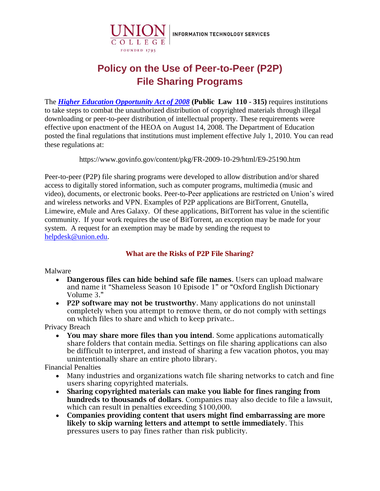

# **Policy on the Use of Peer-to-Peer (P2P) File Sharing Programs**

The *[Higher Education Opportunity Act of 2008](https://www2.ed.gov/policy/highered/leg/hea08/index.html)* **(Public Law 110 - 315)** requires institutions to take steps to combat the unauthorized distribution of copyrighted materials through illegal downloading or peer-to-peer distribution of intellectual property. These requirements were effective upon enactment of the HEOA on August 14, 2008. The Department of Education posted the final regulations that institutions must implement effective July 1, 2010. You can read these regulations at:

<https://www.govinfo.gov/content/pkg/FR-2009-10-29/html/E9-25190.htm>

Peer-to-peer (P2P) file sharing programs were developed to allow distribution and/or shared access to digitally stored information, such as computer programs, multimedia (music and video), documents, or electronic books. Peer-to-Peer applications are restricted on Union's wired and wireless networks and VPN. Examples of P2P applications are BitTorrent, Gnutella, Limewire, eMule and Ares Galaxy. Of these applications, BitTorrent has value in the scientific community. If your work requires the use of BitTorrent, an exception may be made for your system. A request for an exemption may be made by sending the request to [helpdesk@union.edu.](mailto:helpdesk@union.edu)

## **What are the Risks of P2P File Sharing?**

#### Malware

- Dangerous files can hide behind safe file names. Users can upload malware and name it "Shameless Season 10 Episode 1" or "Oxford English Dictionary Volume 3."
- P2P software may not be trustworthy. Many applications do not uninstall completely when you attempt to remove them, or do not comply with settings on which files to share and which to keep private..

Privacy Breach

• You may share more files than you intend. Some applications automatically share folders that contain media. Settings on file sharing applications can also be difficult to interpret, and instead of sharing a few vacation photos, you may unintentionally share an entire photo library.

Financial Penalties

- Many industries and organizations watch file sharing networks to catch and fine users sharing copyrighted materials.
- Sharing copyrighted materials can make you liable for fines ranging from hundreds to thousands of dollars. Companies may also decide to file a lawsuit, which can result in penalties exceeding \$100,000.
- Companies providing content that users might find embarrassing are more likely to skip warning letters and attempt to settle immediately. This pressures users to pay fines rather than risk publicity.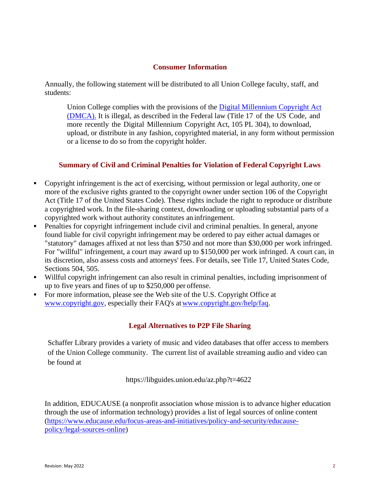#### **Consumer Information**

Annually, the following statement will be distributed to all Union College faculty, staff, and students:

Union College complies with the provisions of the [Digital Millennium](http://www.copyright.gov/legislation/dmca.pdf) [Copyright Act](http://www.copyright.gov/legislation/dmca.pdf)  [\(DMCA\).](http://www.copyright.gov/legislation/dmca.pdf) It is illegal, as described in the Federal law (Title 17 of the US Code, and more recently the Digital Millennium Copyright Act, 105 PL 304), to download, upload, or distribute in any fashion, copyrighted material, in any form without permission or a license to do so from the copyright holder.

## **Summary of Civil and Criminal Penalties for Violation of Federal Copyright Laws**

- Copyright infringement is the act of exercising, without permission or legal authority, one or more of the exclusive rights granted to the copyright owner under section 106 of the Copyright Act (Title 17 of the United States Code). These rights include the right to reproduce or distribute a copyrighted work. In the file-sharing context, downloading or uploading substantial parts of a copyrighted work without authority constitutes an infringement.
- **•** Penalties for copyright infringement include civil and criminal penalties. In general, anyone found liable for civil copyright infringement may be ordered to pay either actual damages or "statutory" damages affixed at not less than \$750 and not more than \$30,000 per work infringed. For "willful" infringement, a court may award up to \$150,000 per work infringed. A court can, in its discretion, also assess costs and attorneys' fees. For details, see Title 17, United States Code, Sections 504, 505.
- Willful copyright infringement can also result in criminal penalties, including imprisonment of up to five years and fines of up to \$250,000 per offense.
- For more information, please see the Web site of the U.S. Copyright Office at [www.copyright.gov,](http://www.copyright.gov/) especially their FAQ's at www.copyright.gov/help/faq.

# **Legal Alternatives to P2P File Sharing**

Schaffer Library provides a variety of music and video databases that offer access to members of the Union College community. The current list of available streaming audio and video can be found at

https://libguides.union.edu/az.php?t=4622

In addition, EDUCAUSE (a nonprofit association whose mission is to advance higher education through the use of information technology) provides a list of legal sources of online content [\(https://www.educause.edu/focus-areas-and-initiatives/policy-and-security/educause](https://www.educause.edu/focus-areas-and-initiatives/policy-and-security/educause-policy/legal-sources-online)[policy/legal-sources-online\)](https://www.educause.edu/focus-areas-and-initiatives/policy-and-security/educause-policy/legal-sources-online)